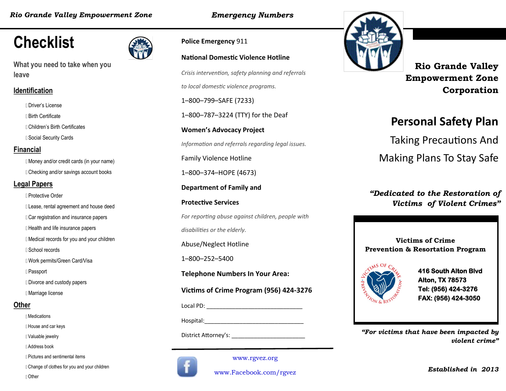*Emergency Numbers*

# **Checklist**

**What you need to take when you leave**

#### **Identification**

- Driver's License
- Birth Certificate
- Children's Birth Certificates
- **I** Social Security Cards

#### **Financial**

Money and/or credit cards (in your name) Checking and/or savings account books

#### **Legal Papers**

- Protective Order
- Lease, rental agreement and house deed
- **Car registration and insurance papers**
- **I** Health and life insurance papers
- Medical records for you and your children
- School records
- Work permits/Green Card/Visa
- Passport
- Divorce and custody papers
- Marriage license

#### **Other**

- Medications
- House and car keys
- Valuable jewelry
- Address book
- Pictures and sentimental items
- Change of clothes for you and your children



**Police Emergency** 911

 *Information and referrals regarding legal issues.* **National Domestic Violence Hotline** *Crisis intervention, safety planning and referrals to local domestic violence programs.* 1–800–799–SAFE (7233) 1–800–787–3224 (TTY) for the Deaf **Women's Advocacy Project** Family Violence Hotline 1–800–374–HOPE (4673) **Department of Family and Protective Services** *For reporting abuse against children, people with disabilities or the elderly.* Abuse/Neglect Hotline 1–800–252–5400 **Telephone Numbers In Your Area: Victims of Crime Program (956) 424-3276** Local PD: \_\_\_\_\_\_\_\_\_\_\_\_\_\_\_\_\_\_\_\_\_\_\_\_\_\_\_\_\_\_ Hospital:\_\_\_\_\_\_\_\_\_\_\_\_\_\_\_\_\_\_\_\_\_\_\_\_\_\_\_\_\_\_\_



www.Facebook.com/rgvez

www.rgvez.org



**Rio Grande Valley Empowerment Zone Corporation**

## **Personal Safety Plan**

Taking Precautions And

Making Plans To Stay Safe

#### *"Dedicated to the Restoration of Victims of Violent Crimes"*

**Victims of Crime Prevention & Resortation Program**



**416 South Alton Blvd Alton, TX 78573 Tel: (956) 424-3276 FAX: (956) 424-3050** 

District Attorney's: **Example 20 and 20 and 20 and 20 and 20 and 20 and 20 and 20 and 20 and 20 and 20 and 20 and 20 and 20 and 20 and 20 and 20 and 20 and 20 and 20 and 20 and 20 and 20 and 20 and 20 and 20 and 20 and 20** *violent crime"*

*Established in 2013*

Other